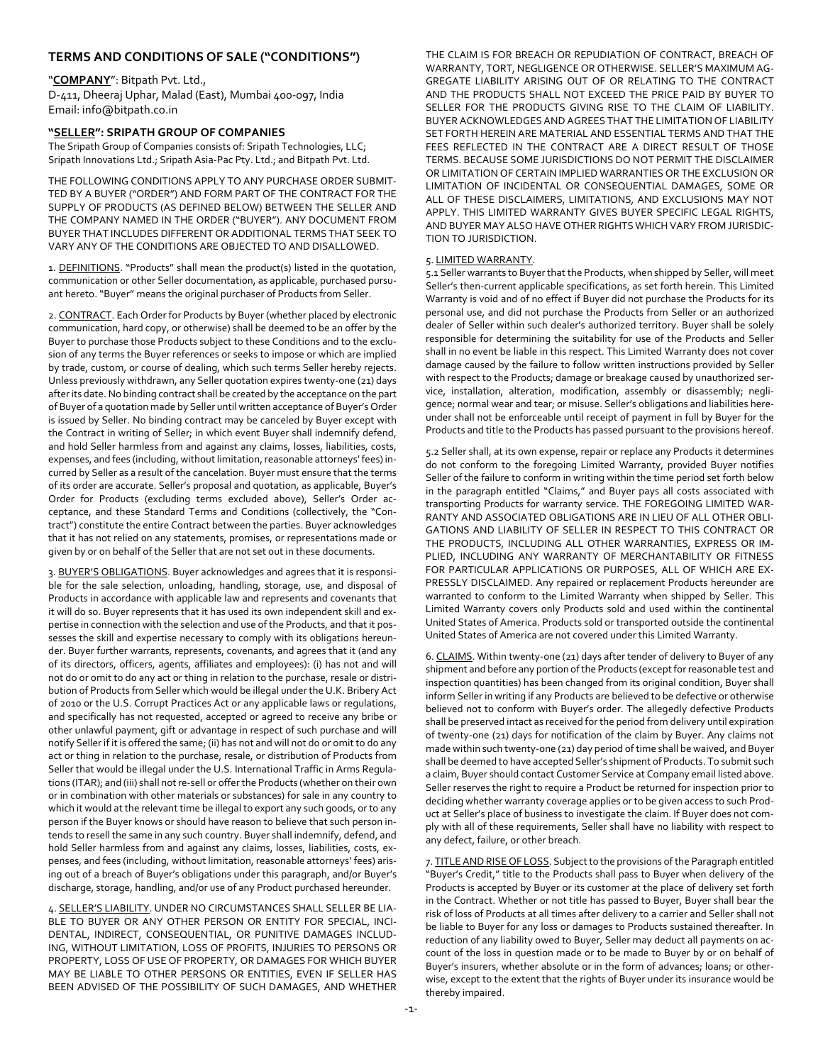## **TERMS AND CONDITIONS OF SALE ("CONDITIONS")**

#### "**COMPANY**": Bitpath Pvt. Ltd.,

D-411, Dheeraj Uphar, Malad (East), Mumbai 400-097, India Email: info@bitpath.co.in

### **"SELLER": SRIPATH GROUP OF COMPANIES**

The Sripath Group of Companies consists of: Sripath Technologies, LLC; Sripath Innovations Ltd.; Sripath Asia-Pac Pty. Ltd.; and Bitpath Pvt. Ltd.

THE FOLLOWING CONDITIONS APPLY TO ANY PURCHASE ORDER SUBMIT-TED BY A BUYER ("ORDER") AND FORM PART OF THE CONTRACT FOR THE SUPPLY OF PRODUCTS (AS DEFINED BELOW) BETWEEN THE SELLER AND THE COMPANY NAMED IN THE ORDER ("BUYER"). ANY DOCUMENT FROM BUYER THAT INCLUDES DIFFERENT OR ADDITIONAL TERMS THAT SEEK TO VARY ANY OF THE CONDITIONS ARE OBJECTED TO AND DISALLOWED.

1. DEFINITIONS. "Products" shall mean the product(s) listed in the quotation, communication or other Seller documentation, as applicable, purchased pursuant hereto. "Buyer" means the original purchaser of Products from Seller.

2. CONTRACT. Each Order for Products by Buyer (whether placed by electronic communication, hard copy, or otherwise) shall be deemed to be an offer by the Buyer to purchase those Products subject to these Conditions and to the exclusion of any terms the Buyer references or seeks to impose or which are implied by trade, custom, or course of dealing, which such terms Seller hereby rejects. Unless previously withdrawn, any Seller quotation expires twenty-one (21) days after its date. No binding contract shall be created by the acceptance on the part of Buyer of a quotation made by Seller until written acceptance of Buyer's Order is issued by Seller. No binding contract may be canceled by Buyer except with the Contract in writing of Seller; in which event Buyer shall indemnify defend, and hold Seller harmless from and against any claims, losses, liabilities, costs, expenses, and fees (including, without limitation, reasonable attorneys' fees) incurred by Seller as a result of the cancelation. Buyer must ensure that the terms of its order are accurate. Seller's proposal and quotation, as applicable, Buyer's Order for Products (excluding terms excluded above), Seller's Order acceptance, and these Standard Terms and Conditions (collectively, the "Contract") constitute the entire Contract between the parties. Buyer acknowledges that it has not relied on any statements, promises, or representations made or given by or on behalf of the Seller that are not set out in these documents.

3. BUYER'S OBLIGATIONS. Buyer acknowledges and agrees that it is responsible for the sale selection, unloading, handling, storage, use, and disposal of Products in accordance with applicable law and represents and covenants that it will do so. Buyer represents that it has used its own independent skill and expertise in connection with the selection and use of the Products, and that it possesses the skill and expertise necessary to comply with its obligations hereunder. Buyer further warrants, represents, covenants, and agrees that it (and any of its directors, officers, agents, affiliates and employees): (i) has not and will not do or omit to do any act or thing in relation to the purchase, resale or distribution of Products from Seller which would be illegal under the U.K. Bribery Act of 2010 or the U.S. Corrupt Practices Act or any applicable laws or regulations, and specifically has not requested, accepted or agreed to receive any bribe or other unlawful payment, gift or advantage in respect of such purchase and will notify Seller if it is offered the same; (ii) has not and will not do or omit to do any act or thing in relation to the purchase, resale, or distribution of Products from Seller that would be illegal under the U.S. International Traffic in Arms Regulations (ITAR); and (iii) shall not re-sell or offer the Products (whether on their own or in combination with other materials or substances) for sale in any country to which it would at the relevant time be illegal to export any such goods, or to any person if the Buyer knows or should have reason to believe that such person intends to resell the same in any such country. Buyer shall indemnify, defend, and hold Seller harmless from and against any claims, losses, liabilities, costs, expenses, and fees (including, without limitation, reasonable attorneys' fees) arising out of a breach of Buyer's obligations under this paragraph, and/or Buyer's discharge, storage, handling, and/or use of any Product purchased hereunder.

4. SELLER'S LIABILITY. UNDER NO CIRCUMSTANCES SHALL SELLER BE LIA-BLE TO BUYER OR ANY OTHER PERSON OR ENTITY FOR SPECIAL, INCI-DENTAL, INDIRECT, CONSEQUENTIAL, OR PUNITIVE DAMAGES INCLUD-ING, WITHOUT LIMITATION, LOSS OF PROFITS, INJURIES TO PERSONS OR PROPERTY, LOSS OF USE OF PROPERTY, OR DAMAGES FOR WHICH BUYER MAY BE LIABLE TO OTHER PERSONS OR ENTITIES, EVEN IF SELLER HAS BEEN ADVISED OF THE POSSIBILITY OF SUCH DAMAGES, AND WHETHER

THE CLAIM IS FOR BREACH OR REPUDIATION OF CONTRACT, BREACH OF WARRANTY, TORT, NEGLIGENCE OR OTHERWISE. SELLER'S MAXIMUM AG-GREGATE LIABILITY ARISING OUT OF OR RELATING TO THE CONTRACT AND THE PRODUCTS SHALL NOT EXCEED THE PRICE PAID BY BUYER TO SELLER FOR THE PRODUCTS GIVING RISE TO THE CLAIM OF LIABILITY. BUYER ACKNOWLEDGES AND AGREES THAT THE LIMITATION OF LIABILITY SET FORTH HEREIN ARE MATERIAL AND ESSENTIAL TERMS AND THAT THE FEES REFLECTED IN THE CONTRACT ARE A DIRECT RESULT OF THOSE TERMS. BECAUSE SOME JURISDICTIONS DO NOT PERMIT THE DISCLAIMER OR LIMITATION OF CERTAIN IMPLIED WARRANTIES OR THE EXCLUSION OR LIMITATION OF INCIDENTAL OR CONSEQUENTIAL DAMAGES, SOME OR ALL OF THESE DISCLAIMERS, LIMITATIONS, AND EXCLUSIONS MAY NOT APPLY. THIS LIMITED WARRANTY GIVES BUYER SPECIFIC LEGAL RIGHTS, AND BUYER MAY ALSO HAVE OTHER RIGHTS WHICH VARY FROM JURISDIC-TION TO JURISDICTION.

# 5. LIMITED WARRANTY.

5.1 Seller warrants to Buyer that the Products, when shipped by Seller, will meet Seller's then-current applicable specifications, as set forth herein. This Limited Warranty is void and of no effect if Buyer did not purchase the Products for its personal use, and did not purchase the Products from Seller or an authorized dealer of Seller within such dealer's authorized territory. Buyer shall be solely responsible for determining the suitability for use of the Products and Seller shall in no event be liable in this respect. This Limited Warranty does not cover damage caused by the failure to follow written instructions provided by Seller with respect to the Products; damage or breakage caused by unauthorized service, installation, alteration, modification, assembly or disassembly; negligence; normal wear and tear; or misuse. Seller's obligations and liabilities hereunder shall not be enforceable until receipt of payment in full by Buyer for the Products and title to the Products has passed pursuant to the provisions hereof.

5.2 Seller shall, at its own expense, repair or replace any Products it determines do not conform to the foregoing Limited Warranty, provided Buyer notifies Seller of the failure to conform in writing within the time period set forth below in the paragraph entitled "Claims," and Buyer pays all costs associated with transporting Products for warranty service. THE FOREGOING LIMITED WAR-RANTY AND ASSOCIATED OBLIGATIONS ARE IN LIEU OF ALL OTHER OBLI-GATIONS AND LIABILITY OF SELLER IN RESPECT TO THIS CONTRACT OR THE PRODUCTS, INCLUDING ALL OTHER WARRANTIES, EXPRESS OR IM-PLIED, INCLUDING ANY WARRANTY OF MERCHANTABILITY OR FITNESS FOR PARTICULAR APPLICATIONS OR PURPOSES, ALL OF WHICH ARE EX-PRESSLY DISCLAIMED. Any repaired or replacement Products hereunder are warranted to conform to the Limited Warranty when shipped by Seller. This Limited Warranty covers only Products sold and used within the continental United States of America. Products sold or transported outside the continental United States of America are not covered under this Limited Warranty.

6. CLAIMS. Within twenty-one (21) days after tender of delivery to Buyer of any shipment and before any portion of the Products (except for reasonable test and inspection quantities) has been changed from its original condition, Buyer shall inform Seller in writing if any Products are believed to be defective or otherwise believed not to conform with Buyer's order. The allegedly defective Products shall be preserved intact as received for the period from delivery until expiration of twenty-one (21) days for notification of the claim by Buyer. Any claims not made within such twenty-one (21) day period of time shall be waived, and Buyer shall be deemed to have accepted Seller's shipment of Products. To submit such a claim, Buyer should contact Customer Service at Company email listed above. Seller reserves the right to require a Product be returned for inspection prior to deciding whether warranty coverage applies or to be given access to such Product at Seller's place of business to investigate the claim. If Buyer does not comply with all of these requirements, Seller shall have no liability with respect to any defect, failure, or other breach.

7. TITLE AND RISE OF LOSS. Subject to the provisions of the Paragraph entitled "Buyer's Credit," title to the Products shall pass to Buyer when delivery of the Products is accepted by Buyer or its customer at the place of delivery set forth in the Contract. Whether or not title has passed to Buyer, Buyer shall bear the risk of loss of Products at all times after delivery to a carrier and Seller shall not be liable to Buyer for any loss or damages to Products sustained thereafter. In reduction of any liability owed to Buyer, Seller may deduct all payments on account of the loss in question made or to be made to Buyer by or on behalf of Buyer's insurers, whether absolute or in the form of advances; loans; or otherwise, except to the extent that the rights of Buyer under its insurance would be thereby impaired.